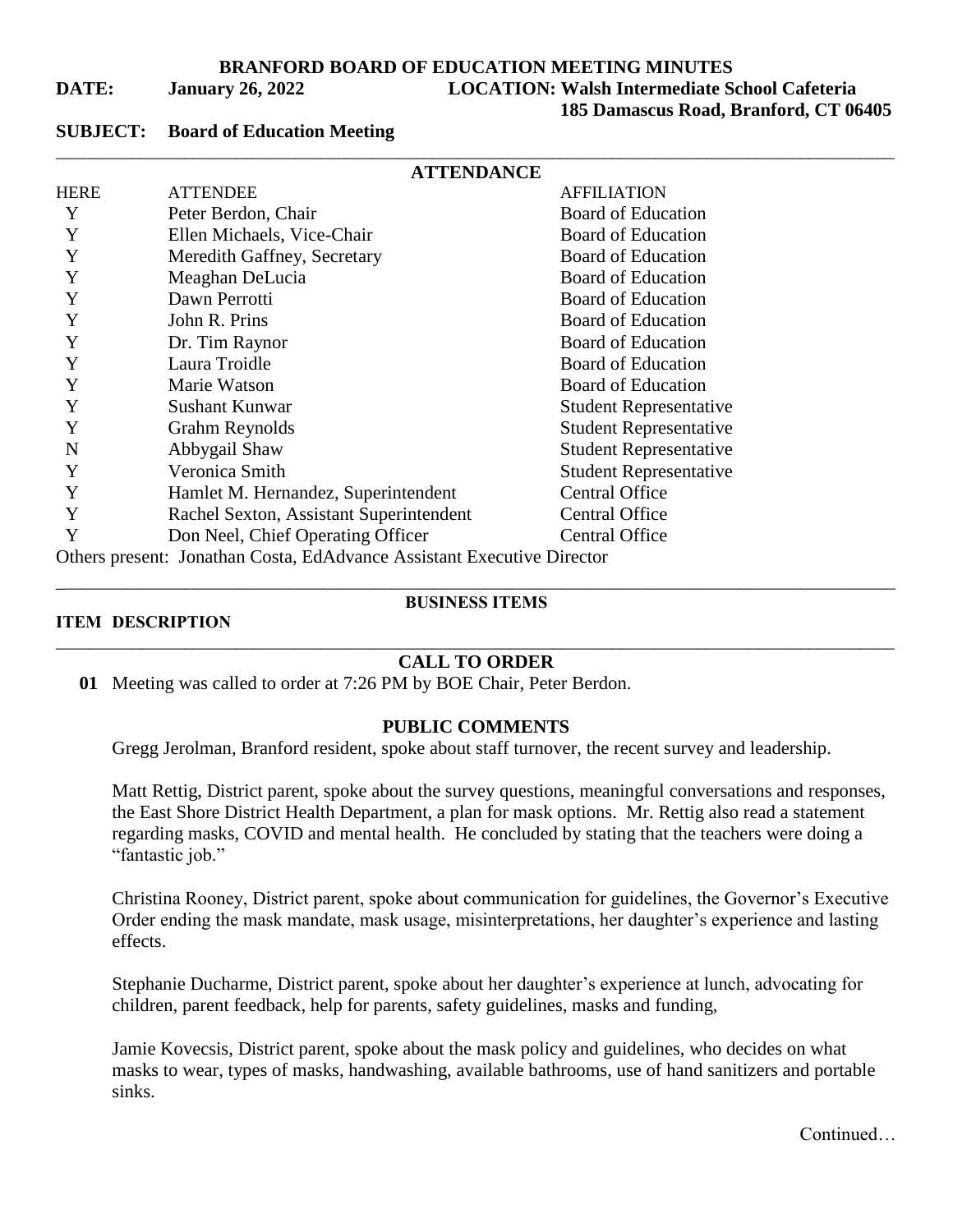**BRANFORD BOARD OF EDUCATION MEETING MINUTES**

**DATE: January 26, 2022 LOCATION: Walsh Intermediate School Cafeteria**

### **185 Damascus Road, Branford, CT 06405**

## **SUBJECT: Board of Education Meeting**

| <b>ATTENDANCE</b> |                                                                        |                               |  |
|-------------------|------------------------------------------------------------------------|-------------------------------|--|
| <b>HERE</b>       | <b>ATTENDEE</b>                                                        | <b>AFFILIATION</b>            |  |
| Y                 | Peter Berdon, Chair                                                    | <b>Board of Education</b>     |  |
|                   | Ellen Michaels, Vice-Chair                                             | Board of Education            |  |
| Y                 | Meredith Gaffney, Secretary                                            | <b>Board of Education</b>     |  |
| Y                 | Meaghan DeLucia                                                        | <b>Board of Education</b>     |  |
|                   | Dawn Perrotti                                                          | <b>Board of Education</b>     |  |
|                   | John R. Prins                                                          | <b>Board of Education</b>     |  |
| Y                 | Dr. Tim Raynor                                                         | <b>Board of Education</b>     |  |
| Y                 | Laura Troidle                                                          | <b>Board of Education</b>     |  |
| Y                 | Marie Watson                                                           | <b>Board of Education</b>     |  |
| Y                 | Sushant Kunwar                                                         | <b>Student Representative</b> |  |
| Y                 | Grahm Reynolds                                                         | <b>Student Representative</b> |  |
| N                 | Abbygail Shaw                                                          | <b>Student Representative</b> |  |
| Y                 | Veronica Smith                                                         | <b>Student Representative</b> |  |
| Y                 | Hamlet M. Hernandez, Superintendent                                    | <b>Central Office</b>         |  |
|                   | Rachel Sexton, Assistant Superintendent                                | <b>Central Office</b>         |  |
| Y                 | Don Neel, Chief Operating Officer                                      | Central Office                |  |
|                   | Others present: Jonathan Costa, EdAdvance Assistant Executive Director |                               |  |

# **ITEM DESCRIPTION**

\_\_\_\_\_\_\_\_\_\_\_\_\_\_\_\_\_\_\_\_\_\_\_\_\_\_\_\_\_\_\_\_\_\_\_\_\_\_\_\_\_\_\_\_\_\_\_\_\_\_\_\_\_\_\_\_\_\_\_\_\_\_\_\_\_\_\_\_\_\_\_\_\_\_\_\_\_\_\_\_\_\_\_\_\_\_\_\_\_\_\_\_\_\_\_\_\_\_ **BUSINESS ITEMS**

## \_\_\_\_\_\_\_\_\_\_\_\_\_\_\_\_\_\_\_\_\_\_\_\_\_\_\_\_\_\_\_\_\_\_\_\_\_\_\_\_\_\_\_\_\_\_\_\_\_\_\_\_\_\_\_\_\_\_\_\_\_\_\_\_\_\_\_\_\_\_\_\_\_\_\_\_\_\_\_\_\_\_\_\_\_\_\_\_\_\_\_\_\_\_\_\_\_\_ **CALL TO ORDER**

**01** Meeting was called to order at 7:26 PM by BOE Chair, Peter Berdon.

# **PUBLIC COMMENTS**

Gregg Jerolman, Branford resident, spoke about staff turnover, the recent survey and leadership.

Matt Rettig, District parent, spoke about the survey questions, meaningful conversations and responses, the East Shore District Health Department, a plan for mask options. Mr. Rettig also read a statement regarding masks, COVID and mental health. He concluded by stating that the teachers were doing a "fantastic job."

Christina Rooney, District parent, spoke about communication for guidelines, the Governor's Executive Order ending the mask mandate, mask usage, misinterpretations, her daughter's experience and lasting effects.

Stephanie Ducharme, District parent, spoke about her daughter's experience at lunch, advocating for children, parent feedback, help for parents, safety guidelines, masks and funding,

Jamie Kovecsis, District parent, spoke about the mask policy and guidelines, who decides on what masks to wear, types of masks, handwashing, available bathrooms, use of hand sanitizers and portable sinks.

Continued…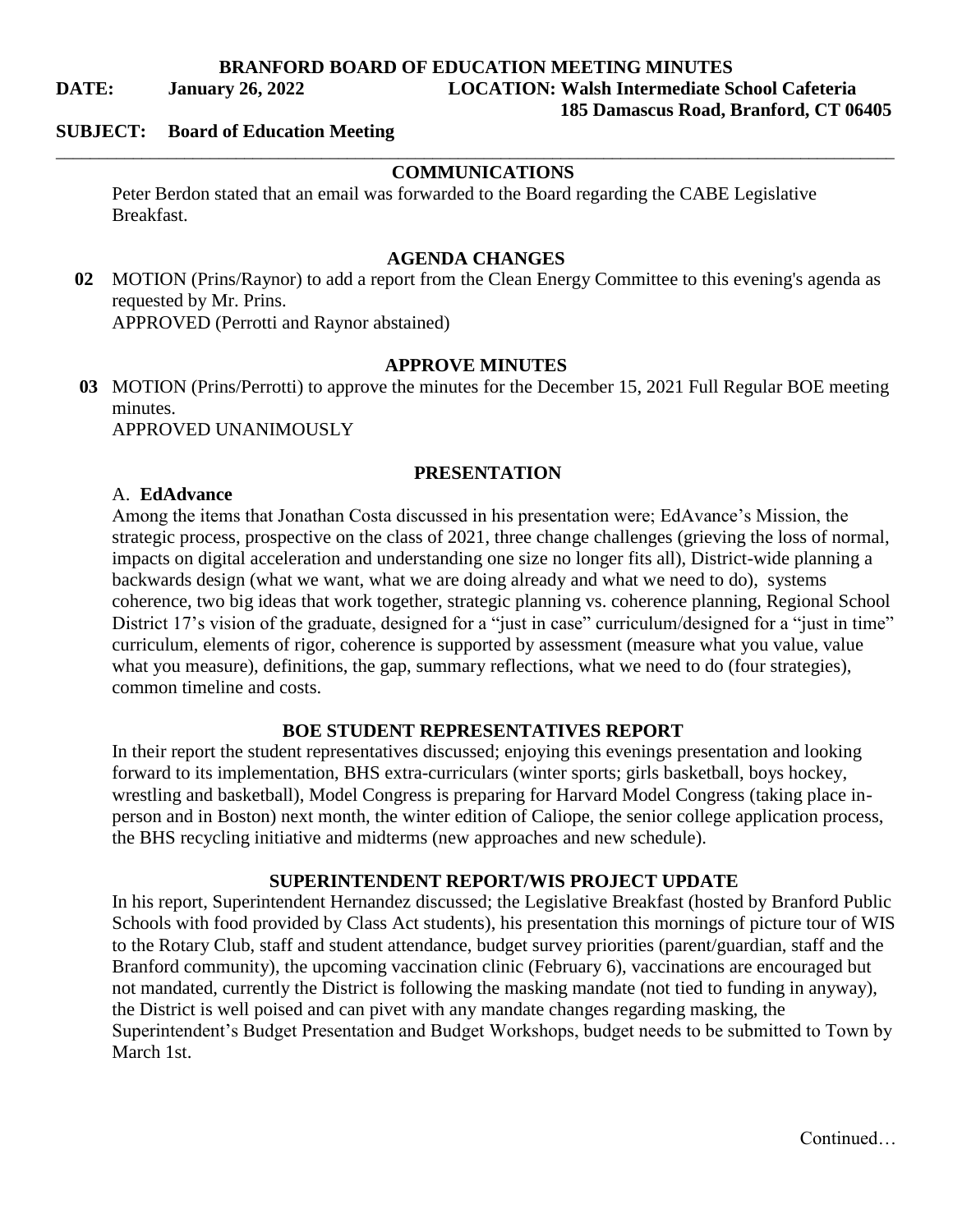**BRANFORD BOARD OF EDUCATION MEETING MINUTES**

**DATE: January 26, 2022 LOCATION: Walsh Intermediate School Cafeteria**

**185 Damascus Road, Branford, CT 06405**

#### **SUBJECT: Board of Education Meeting**

#### \_\_\_\_\_\_\_\_\_\_\_\_\_\_\_\_\_\_\_\_\_\_\_\_\_\_\_\_\_\_\_\_\_\_\_\_\_\_\_\_\_\_\_\_\_\_\_\_\_\_\_\_\_\_\_\_\_\_\_\_\_\_\_\_\_\_\_\_\_\_\_\_\_\_\_\_\_\_\_\_\_\_\_\_\_\_\_\_\_\_\_\_\_\_\_\_\_\_ **COMMUNICATIONS**

Peter Berdon stated that an email was forwarded to the Board regarding the CABE Legislative Breakfast.

## **AGENDA CHANGES**

**02** MOTION (Prins/Raynor) to add a report from the Clean Energy Committee to this evening's agenda as requested by Mr. Prins. APPROVED (Perrotti and Raynor abstained)

#### **APPROVE MINUTES**

**03** MOTION (Prins/Perrotti) to approve the minutes for the December 15, 2021 Full Regular BOE meeting minutes.

APPROVED UNANIMOUSLY

#### **PRESENTATION**

#### A. **EdAdvance**

Among the items that Jonathan Costa discussed in his presentation were; EdAvance's Mission, the strategic process, prospective on the class of 2021, three change challenges (grieving the loss of normal, impacts on digital acceleration and understanding one size no longer fits all), District-wide planning a backwards design (what we want, what we are doing already and what we need to do), systems coherence, two big ideas that work together, strategic planning vs. coherence planning, Regional School District 17's vision of the graduate, designed for a "just in case" curriculum/designed for a "just in time" curriculum, elements of rigor, coherence is supported by assessment (measure what you value, value what you measure), definitions, the gap, summary reflections, what we need to do (four strategies), common timeline and costs.

## **BOE STUDENT REPRESENTATIVES REPORT**

In their report the student representatives discussed; enjoying this evenings presentation and looking forward to its implementation, BHS extra-curriculars (winter sports; girls basketball, boys hockey, wrestling and basketball), Model Congress is preparing for Harvard Model Congress (taking place inperson and in Boston) next month, the winter edition of Caliope, the senior college application process, the BHS recycling initiative and midterms (new approaches and new schedule).

#### **SUPERINTENDENT REPORT/WIS PROJECT UPDATE**

In his report, Superintendent Hernandez discussed; the Legislative Breakfast (hosted by Branford Public Schools with food provided by Class Act students), his presentation this mornings of picture tour of WIS to the Rotary Club, staff and student attendance, budget survey priorities (parent/guardian, staff and the Branford community), the upcoming vaccination clinic (February 6), vaccinations are encouraged but not mandated, currently the District is following the masking mandate (not tied to funding in anyway), the District is well poised and can pivet with any mandate changes regarding masking, the Superintendent's Budget Presentation and Budget Workshops, budget needs to be submitted to Town by March 1st.

Continued…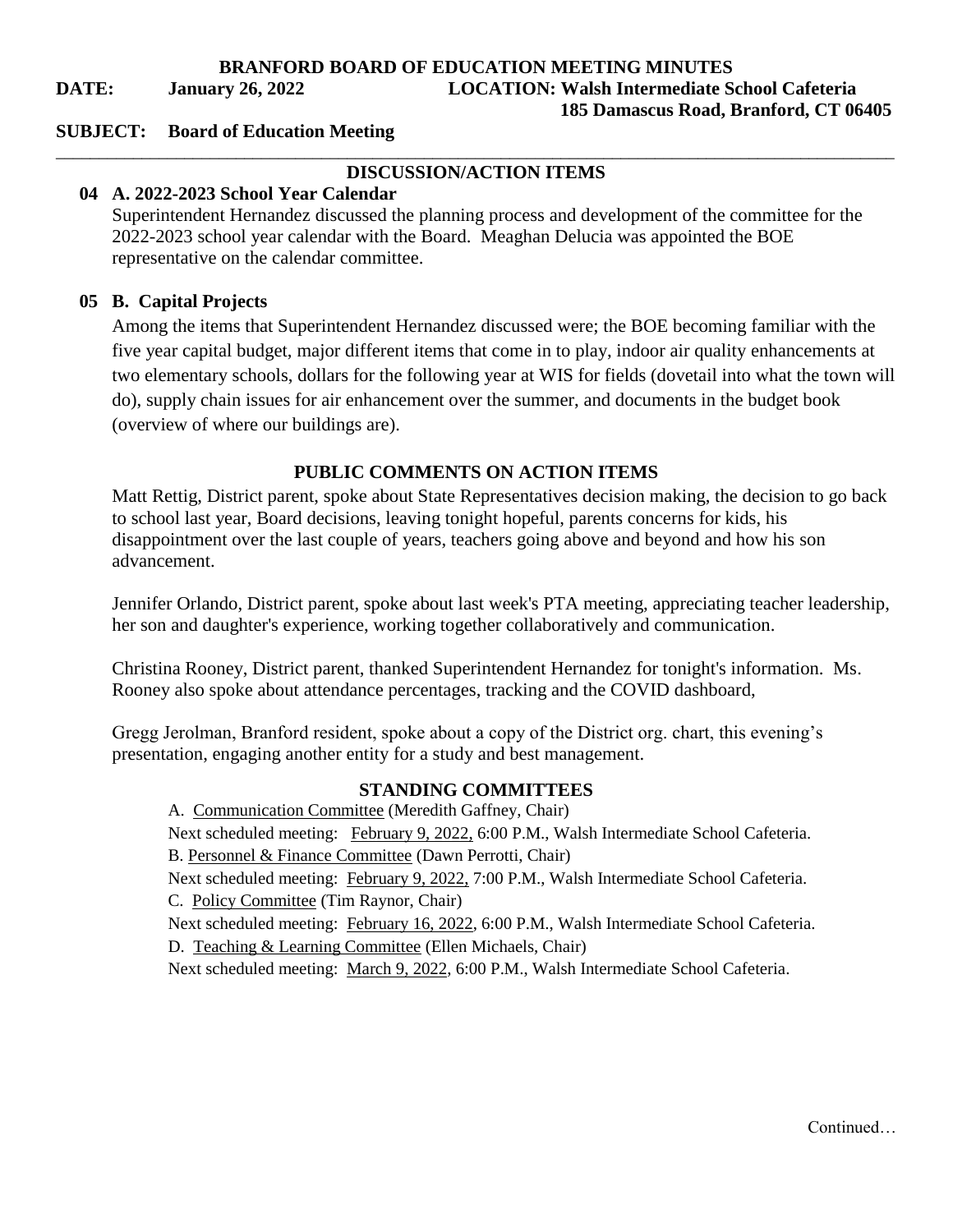## **SUBJECT: Board of Education Meeting**

## \_\_\_\_\_\_\_\_\_\_\_\_\_\_\_\_\_\_\_\_\_\_\_\_\_\_\_\_\_\_\_\_\_\_\_\_\_\_\_\_\_\_\_\_\_\_\_\_\_\_\_\_\_\_\_\_\_\_\_\_\_\_\_\_\_\_\_\_\_\_\_\_\_\_\_\_\_\_\_\_\_\_\_\_\_\_\_\_\_\_\_\_\_\_\_\_\_\_ **DISCUSSION/ACTION ITEMS**

## **04 A. 2022-2023 School Year Calendar**

Superintendent Hernandez discussed the planning process and development of the committee for the 2022-2023 school year calendar with the Board. Meaghan Delucia was appointed the BOE representative on the calendar committee.

## **05 B. Capital Projects**

Among the items that Superintendent Hernandez discussed were; the BOE becoming familiar with the five year capital budget, major different items that come in to play, indoor air quality enhancements at two elementary schools, dollars for the following year at WIS for fields (dovetail into what the town will do), supply chain issues for air enhancement over the summer, and documents in the budget book (overview of where our buildings are).

## **PUBLIC COMMENTS ON ACTION ITEMS**

Matt Rettig, District parent, spoke about State Representatives decision making, the decision to go back to school last year, Board decisions, leaving tonight hopeful, parents concerns for kids, his disappointment over the last couple of years, teachers going above and beyond and how his son advancement.

Jennifer Orlando, District parent, spoke about last week's PTA meeting, appreciating teacher leadership, her son and daughter's experience, working together collaboratively and communication.

Christina Rooney, District parent, thanked Superintendent Hernandez for tonight's information. Ms. Rooney also spoke about attendance percentages, tracking and the COVID dashboard,

Gregg Jerolman, Branford resident, spoke about a copy of the District org. chart, this evening's presentation, engaging another entity for a study and best management.

## **STANDING COMMITTEES**

A. Communication Committee (Meredith Gaffney, Chair) Next scheduled meeting: February 9, 2022, 6:00 P.M., Walsh Intermediate School Cafeteria. B. Personnel & Finance Committee (Dawn Perrotti, Chair) Next scheduled meeting: February 9, 2022, 7:00 P.M., Walsh Intermediate School Cafeteria. C. Policy Committee (Tim Raynor, Chair) Next scheduled meeting: February 16, 2022, 6:00 P.M., Walsh Intermediate School Cafeteria. D. Teaching & Learning Committee (Ellen Michaels, Chair) Next scheduled meeting: March 9, 2022, 6:00 P.M., Walsh Intermediate School Cafeteria.